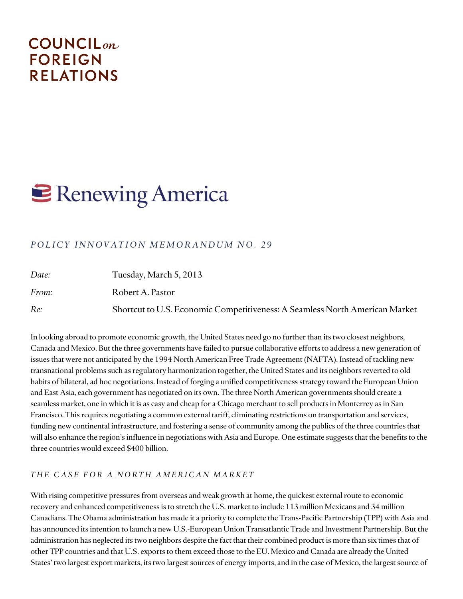# **COUNCIL**<sub>on</sub> **FOREIGN RELATIONS**

# **E** Renewing America

### *POLICY INNOVATION MEMORANDUM NO. 29*

| Date: | Tuesday, March 5, 2013                                                      |
|-------|-----------------------------------------------------------------------------|
| From: | Robert A. Pastor                                                            |
| Re:   | Shortcut to U.S. Economic Competitiveness: A Seamless North American Market |

In looking abroad to promote economic growth, the United States need go no further than its two closest neighbors, Canada and Mexico. But the three governments have failed to pursue collaborative efforts to address a new generation of issues that were not anticipated by the 1994 North American Free Trade Agreement (NAFTA). Instead of tackling new transnational problems such as regulatory harmonization together, the United States and its neighbors reverted to old habits of bilateral, ad hoc negotiations. Instead of forging a unified competitiveness strategy toward the European Union and East Asia, each government has negotiated on its own. The three North American governments should create a seamless market, one in which it is as easy and cheap for a Chicago merchant to sell products in Monterrey as in San Francisco. This requires negotiating a common external tariff, eliminating restrictions on transportation and services, funding new continental infrastructure, and fostering a sense of community among the publics of the three countries that will also enhance the region's influence in negotiations with Asia and Europe. One estimate suggests that the benefits to the three countries would exceed \$400 billion.

#### *T H E C A S E F O R A N O R T H A M E R I C A N M A R K E T*

With rising competitive pressures from overseas and weak growth at home, the quickest external route to economic recovery and enhanced competitiveness is to stretch the U.S. market to include 113 million Mexicans and 34 million Canadians. The Obama administration has made it a priority to complete the Trans-Pacific Partnership (TPP) with Asia and has announced its intention to launch a new U.S.-European Union Transatlantic Trade and Investment Partnership. But the administration has neglected its two neighbors despite the fact that their combined product is more than six times that of other TPP countries and that U.S. exports to them exceed those to the EU. Mexico and Canada are already the United States' two largest export markets, its two largest sources of energy imports, and in the case of Mexico, the largest source of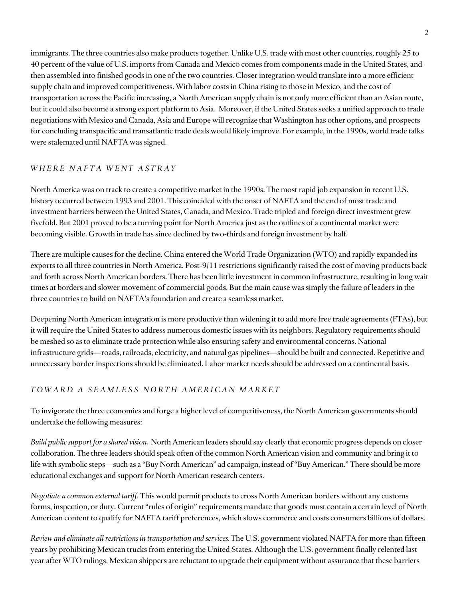immigrants. The three countries also make products together. Unlike U.S. trade with most other countries, roughly 25 to 40 percent of the value of U.S. imports from Canada and Mexico comes from components made in the United States, and then assembled into finished goods in one of the two countries. Closer integration would translate into a more efficient supply chain and improved competitiveness. With labor costs in China rising to those in Mexico, and the cost of transportation across the Pacific increasing, a North American supply chain is not only more efficient than an Asian route, but it could also become a strong export platform to Asia. Moreover, if the United States seeks a unified approach to trade negotiations with Mexico and Canada, Asia and Europe will recognize that Washington has other options, and prospects for concluding transpacific and transatlantic trade deals would likely improve. For example, in the 1990s, world trade talks were stalemated until NAFTA was signed.

#### *W H E R E N A F T A W E N T A S T R A Y*

North America was on track to create a competitive market in the 1990s. The most rapid job expansion in recent U.S. history occurred between 1993 and 2001. This coincided with the onset of NAFTA and the end of most trade and investment barriers between the United States, Canada, and Mexico. Trade tripled and foreign direct investment grew fivefold. But 2001 proved to be a turning point for North America just as the outlines of a continental market were becoming visible. Growth in trade has since declined by two-thirds and foreign investment by half.

There are multiple causes for the decline. China entered the World Trade Organization (WTO) and rapidly expanded its exports to all three countries in North America. Post-9/11 restrictions significantly raised the cost of moving products back and forth across North American borders. There has been little investment in common infrastructure, resulting in long wait times at borders and slower movement of commercial goods. But the main cause was simply the failure of leaders in the three countries to build on NAFTA's foundation and create a seamless market.

Deepening North American integration is more productive than widening it to add more free trade agreements (FTAs), but it will require the United States to address numerous domestic issues with its neighbors. Regulatory requirements should be meshed so as to eliminate trade protection while also ensuring safety and environmental concerns. National infrastructure grids—roads, railroads, electricity, and natural gas pipelines—should be built and connected. Repetitive and unnecessary border inspections should be eliminated. Labor market needs should be addressed on a continental basis.

#### *T O W A R D A S E A M L E S S N O R T H A M E R I C A N M A R K E T*

To invigorate the three economies and forge a higher level of competitiveness, the North American governments should undertake the following measures:

*Build public support for a shared vision.* North American leaders should say clearly that economic progress depends on closer collaboration. The three leaders should speak often of the common North American vision and community and bring it to life with symbolic steps—such as a "Buy North American" ad campaign, instead of "Buy American." There should be more educational exchanges and support for North American research centers.

*Negotiate a common external tariff*. This would permit products to cross North American borders without any customs forms, inspection, or duty. Current "rules of origin" requirements mandate that goods must contain a certain level of North American content to qualify for NAFTA tariff preferences, which slows commerce and costs consumers billions of dollars.

*Review and eliminate all restrictions in transportation and services.* The U.S. government violated NAFTA for more than fifteen years by prohibiting Mexican trucks from entering the United States. Although the U.S. government finally relented last year after WTO rulings, Mexican shippers are reluctant to upgrade their equipment without assurance that these barriers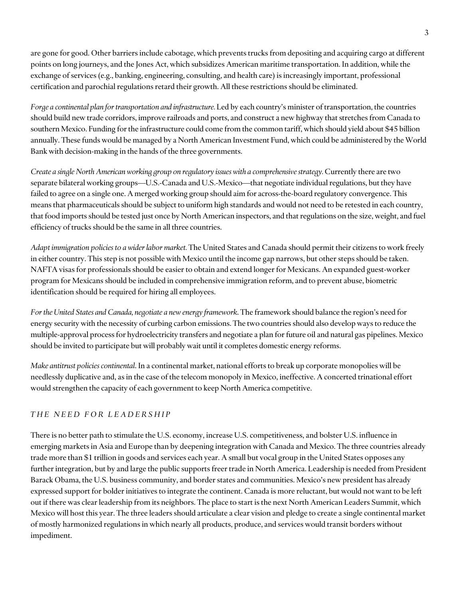are gone for good. Other barriers include cabotage, which prevents trucks from depositing and acquiring cargo at different points on long journeys, and the Jones Act, which subsidizes American maritime transportation. In addition, while the exchange of services (e.g., banking, engineering, consulting, and health care) is increasingly important, professional certification and parochial regulations retard their growth. All these restrictions should be eliminated.

*Forge a continental plan for transportation and infrastructure.* Led by each country's minister of transportation, the countries should build new trade corridors, improve railroads and ports, and construct a new highway that stretches from Canada to southern Mexico. Funding for the infrastructure could come from the common tariff, which should yield about \$45 billion annually. These funds would be managed by a North American Investment Fund, which could be administered by the World Bank with decision-making in the hands of the three governments.

*Create a single North American working group on regulatory issues with a comprehensive strategy.* Currently there are two separate bilateral working groups—U.S.-Canada and U.S.-Mexico—that negotiate individual regulations, but they have failed to agree on a single one. A merged working group should aim for across-the-board regulatory convergence. This means that pharmaceuticals should be subject to uniform high standards and would not need to be retested in each country, that food imports should be tested just once by North American inspectors, and that regulations on the size, weight, and fuel efficiency of trucks should be the same in all three countries.

*Adapt immigration policies to a wider labor market.* The United States and Canada should permit their citizens to work freely in either country. This step is not possible with Mexico until the income gap narrows, but other steps should be taken. NAFTA visas for professionals should be easierto obtain and extend longer for Mexicans. An expanded guest-worker program for Mexicans should be included in comprehensive immigration reform, and to prevent abuse, biometric identification should be required for hiring all employees.

*For the United States and Canada, negotiate a new energy framework*. The framework should balance the region's need for energy security with the necessity of curbing carbon emissions. The two countries should also develop ways to reduce the multiple-approval process for hydroelectricity transfers and negotiate a plan for future oil and natural gas pipelines. Mexico should be invited to participate but will probably wait until it completes domestic energy reforms.

*Make antitrust policies continental*. In a continental market, national efforts to break up corporate monopolies will be needlessly duplicative and, as in the case of the telecom monopoly in Mexico, ineffective. A concerted trinational effort would strengthen the capacity of each government to keep North America competitive.

## *T H E N E E D F O R L E A D E R S H I P*

There is no better path to stimulate the U.S. economy, increase U.S. competitiveness, and bolster U.S. influence in emerging markets in Asia and Europe than by deepening integration with Canada and Mexico. The three countries already trade more than \$1 trillion in goods and services each year. A small but vocal group in the United States opposes any further integration, but by and large the public supports freer trade in North America. Leadership is needed from President Barack Obama, the U.S. business community, and border states and communities. Mexico's new president has already expressed support for bolder initiatives to integrate the continent. Canada is more reluctant, but would not want to be left out if there was clear leadership from its neighbors. The place to start is the next North American Leaders Summit, which Mexico will host this year. The three leaders should articulate a clear vision and pledge to create a single continental market of mostly harmonized regulations in which nearly all products, produce, and services would transit borders without impediment.